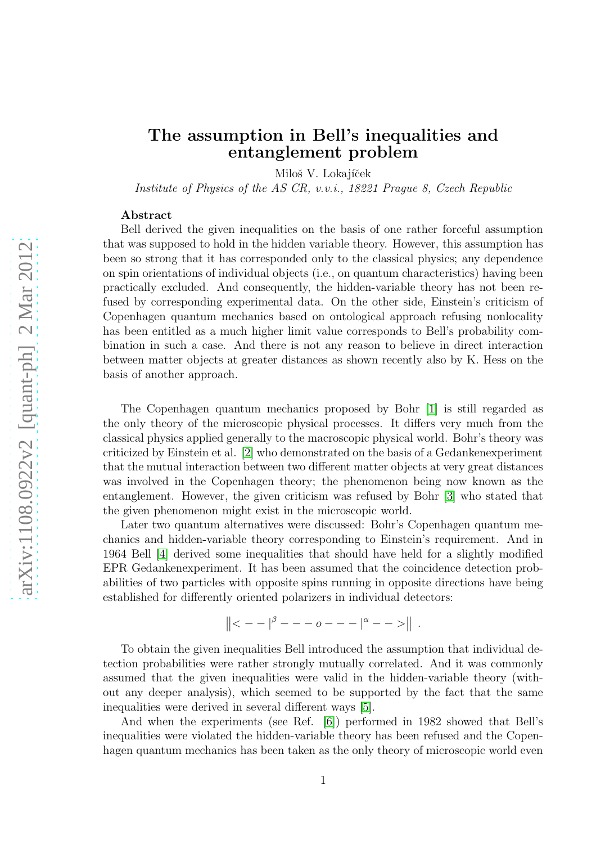## The assumption in Bell's inequalities and entanglement problem

Miloš V. Lokajíček

Institute of Physics of the AS CR, v.v.i., 18221 Prague 8, Czech Republic

## Abstract

Bell derived the given inequalities on the basis of one rather forceful assumption that was supposed to hold in the hidden variable theory. However, this assumption has been so strong that it has corresponded only to the classical physics; any dependence on spin orientations of individual objects (i.e., on quantum characteristics) having been practically excluded. And consequently, the hidden-variable theory has not been refused by corresponding experimental data. On the other side, Einstein's criticism of Copenhagen quantum mechanics based on ontological approach refusing nonlocality has been entitled as a much higher limit value corresponds to Bell's probability combination in such a case. And there is not any reason to believe in direct interaction between matter objects at greater distances as shown recently also by K. Hess on the basis of another approach.

The Copenhagen quantum mechanics proposed by Bohr [\[1\]](#page-3-0) is still regarded as the only theory of the microscopic physical processes. It differs very much from the classical physics applied generally to the macroscopic physical world. Bohr's theory was criticized by Einstein et al. [\[2\]](#page-3-1) who demonstrated on the basis of a Gedankenexperiment that the mutual interaction between two different matter objects at very great distances was involved in the Copenhagen theory; the phenomenon being now known as the entanglement. However, the given criticism was refused by Bohr [\[3\]](#page-3-2) who stated that the given phenomenon might exist in the microscopic world.

Later two quantum alternatives were discussed: Bohr's Copenhagen quantum mechanics and hidden-variable theory corresponding to Einstein's requirement. And in 1964 Bell [\[4\]](#page-3-3) derived some inequalities that should have held for a slightly modified EPR Gedankenexperiment. It has been assumed that the coincidence detection probabilities of two particles with opposite spins running in opposite directions have being established for differently oriented polarizers in individual detectors:

$$
\|\langle -| \beta - - -o - - - |^{\alpha} - - \rangle \|.
$$

To obtain the given inequalities Bell introduced the assumption that individual detection probabilities were rather strongly mutually correlated. And it was commonly assumed that the given inequalities were valid in the hidden-variable theory (without any deeper analysis), which seemed to be supported by the fact that the same inequalities were derived in several different ways [\[5\]](#page-3-4).

And when the experiments (see Ref. [\[6\]](#page-3-5)) performed in 1982 showed that Bell's inequalities were violated the hidden-variable theory has been refused and the Copenhagen quantum mechanics has been taken as the only theory of microscopic world even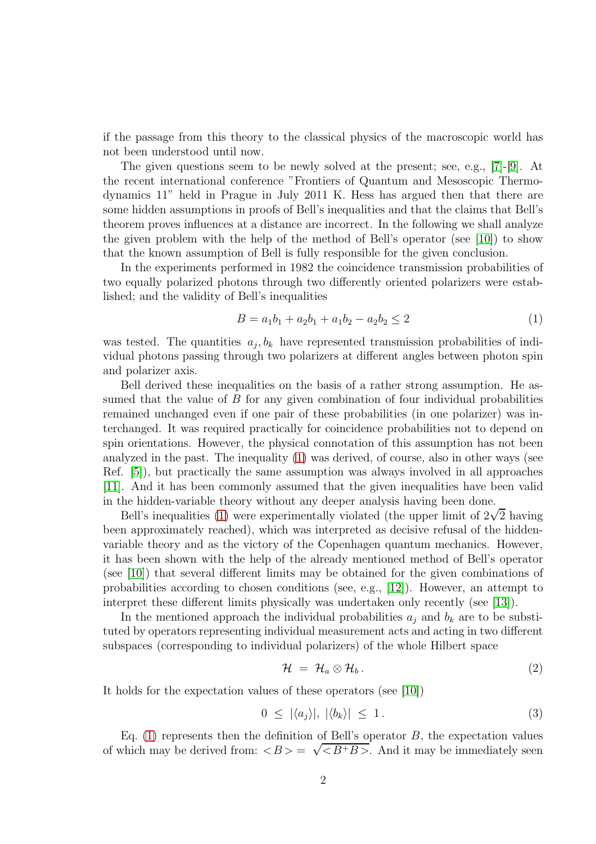if the passage from this theory to the classical physics of the macroscopic world has not been understood until now.

The given questions seem to be newly solved at the present; see, e.g., [\[7\]](#page-3-6)-[\[9\]](#page-3-7). At the recent international conference "Frontiers of Quantum and Mesoscopic Thermodynamics 11" held in Prague in July 2011 K. Hess has argued then that there are some hidden assumptions in proofs of Bell's inequalities and that the claims that Bell's theorem proves influences at a distance are incorrect. In the following we shall analyze the given problem with the help of the method of Bell's operator (see [\[10\]](#page-3-8)) to show that the known assumption of Bell is fully responsible for the given conclusion.

In the experiments performed in 1982 the coincidence transmission probabilities of two equally polarized photons through two differently oriented polarizers were established; and the validity of Bell's inequalities

<span id="page-1-0"></span>
$$
B = a_1b_1 + a_2b_1 + a_1b_2 - a_2b_2 \le 2
$$
\n<sup>(1)</sup>

was tested. The quantities  $a_j, b_k$  have represented transmission probabilities of individual photons passing through two polarizers at different angles between photon spin and polarizer axis.

Bell derived these inequalities on the basis of a rather strong assumption. He assumed that the value of  $B$  for any given combination of four individual probabilities remained unchanged even if one pair of these probabilities (in one polarizer) was interchanged. It was required practically for coincidence probabilities not to depend on spin orientations. However, the physical connotation of this assumption has not been analyzed in the past. The inequality [\(1\)](#page-1-0) was derived, of course, also in other ways (see Ref. [\[5\]](#page-3-4)), but practically the same assumption was always involved in all approaches [\[11\]](#page-3-9). And it has been commonly assumed that the given inequalities have been valid in the hidden-variable theory without any deeper analysis having been done.

Bell's inequalities [\(1\)](#page-1-0) were experimentally violated (the upper limit of  $2\sqrt{2}$  having been approximately reached), which was interpreted as decisive refusal of the hiddenvariable theory and as the victory of the Copenhagen quantum mechanics. However, it has been shown with the help of the already mentioned method of Bell's operator (see [\[10\]](#page-3-8)) that several different limits may be obtained for the given combinations of probabilities according to chosen conditions (see, e.g., [\[12\]](#page-3-10)). However, an attempt to interpret these different limits physically was undertaken only recently (see [\[13\]](#page-3-11)).

In the mentioned approach the individual probabilities  $a_i$  and  $b_k$  are to be substituted by operators representing individual measurement acts and acting in two different subspaces (corresponding to individual polarizers) of the whole Hilbert space

$$
\mathcal{H} = \mathcal{H}_a \otimes \mathcal{H}_b. \tag{2}
$$

It holds for the expectation values of these operators (see [\[10\]](#page-3-8))

$$
0 \leq |\langle a_j \rangle|, |\langle b_k \rangle| \leq 1. \tag{3}
$$

Eq. [\(1\)](#page-1-0) represents then the definition of Bell's operator  $B$ , the expectation values of which may be derived from:  $\langle B \rangle = \sqrt{\langle B^+B \rangle}$ . And it may be immediately seen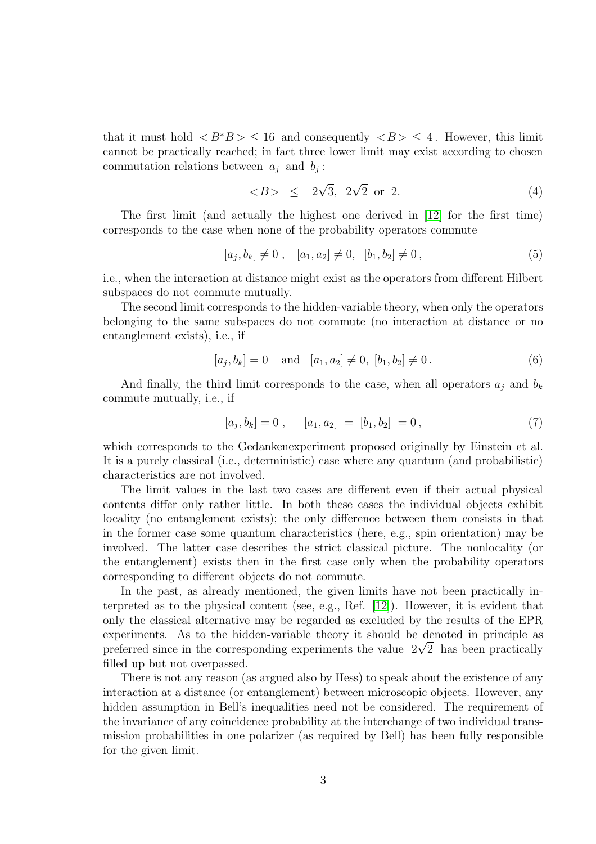that it must hold  $\langle B^*B \rangle \leq 16$  and consequently  $\langle B \rangle \leq 4$ . However, this limit cannot be practically reached; in fact three lower limit may exist according to chosen commutation relations between  $a_j$  and  $b_j$ :

$$
> \leq 2\sqrt{3}, 2\sqrt{2} \text{ or } 2.
$$
 (4)

The first limit (and actually the highest one derived in [\[12\]](#page-3-10) for the first time) corresponds to the case when none of the probability operators commute

$$
[a_j, b_k] \neq 0 , [a_1, a_2] \neq 0, [b_1, b_2] \neq 0,
$$
\n
$$
(5)
$$

i.e., when the interaction at distance might exist as the operators from different Hilbert subspaces do not commute mutually.

The second limit corresponds to the hidden-variable theory, when only the operators belonging to the same subspaces do not commute (no interaction at distance or no entanglement exists), i.e., if

$$
[a_j, b_k] = 0
$$
 and  $[a_1, a_2] \neq 0$ ,  $[b_1, b_2] \neq 0$ . (6)

And finally, the third limit corresponds to the case, when all operators  $a_i$  and  $b_k$ commute mutually, i.e., if

$$
[a_j, b_k] = 0 , [a_1, a_2] = [b_1, b_2] = 0 , \t\t(7)
$$

which corresponds to the Gedankenexperiment proposed originally by Einstein et al. It is a purely classical (i.e., deterministic) case where any quantum (and probabilistic) characteristics are not involved.

The limit values in the last two cases are different even if their actual physical contents differ only rather little. In both these cases the individual objects exhibit locality (no entanglement exists); the only difference between them consists in that in the former case some quantum characteristics (here, e.g., spin orientation) may be involved. The latter case describes the strict classical picture. The nonlocality (or the entanglement) exists then in the first case only when the probability operators corresponding to different objects do not commute.

In the past, as already mentioned, the given limits have not been practically interpreted as to the physical content (see, e.g., Ref. [\[12\]](#page-3-10)). However, it is evident that only the classical alternative may be regarded as excluded by the results of the EPR experiments. As to the hidden-variable theory it should be denoted in principle as preferred since in the corresponding experiments the value  $2\sqrt{2}$  has been practically filled up but not overpassed.

There is not any reason (as argued also by Hess) to speak about the existence of any interaction at a distance (or entanglement) between microscopic objects. However, any hidden assumption in Bell's inequalities need not be considered. The requirement of the invariance of any coincidence probability at the interchange of two individual transmission probabilities in one polarizer (as required by Bell) has been fully responsible for the given limit.